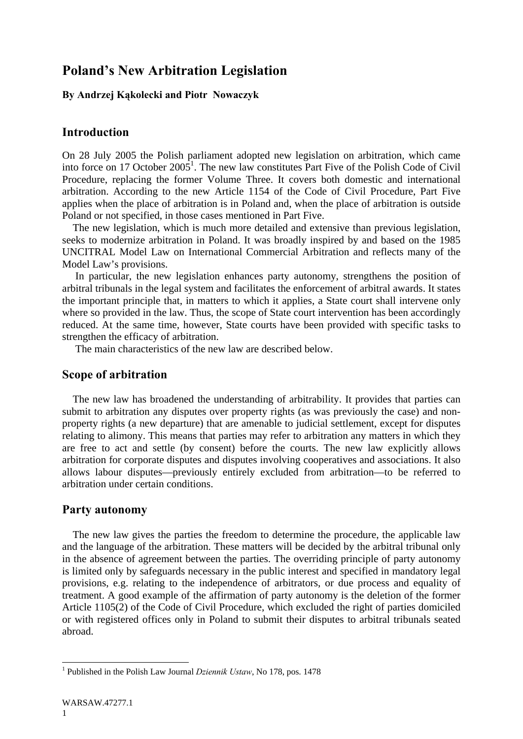# **Poland's New Arbitration Legislation**

## **By Andrzej Kąkolecki and Piotr Nowaczyk**

## **Introduction**

On 28 July 2005 the Polish parliament adopted new legislation on arbitration, which came into force on 17 October  $2005^1$ . The new law constitutes Part Five of the Polish Code of Civil Procedure, replacing the former Volume Three. It covers both domestic and international arbitration. According to the new Article 1154 of the Code of Civil Procedure, Part Five applies when the place of arbitration is in Poland and, when the place of arbitration is outside Poland or not specified, in those cases mentioned in Part Five.

 The new legislation, which is much more detailed and extensive than previous legislation, seeks to modernize arbitration in Poland. It was broadly inspired by and based on the 1985 UNCITRAL Model Law on International Commercial Arbitration and reflects many of the Model Law's provisions.

 In particular, the new legislation enhances party autonomy, strengthens the position of arbitral tribunals in the legal system and facilitates the enforcement of arbitral awards. It states the important principle that, in matters to which it applies, a State court shall intervene only where so provided in the law. Thus, the scope of State court intervention has been accordingly reduced. At the same time, however, State courts have been provided with specific tasks to strengthen the efficacy of arbitration.

The main characteristics of the new law are described below.

#### **Scope of arbitration**

 The new law has broadened the understanding of arbitrability. It provides that parties can submit to arbitration any disputes over property rights (as was previously the case) and nonproperty rights (a new departure) that are amenable to judicial settlement, except for disputes relating to alimony. This means that parties may refer to arbitration any matters in which they are free to act and settle (by consent) before the courts. The new law explicitly allows arbitration for corporate disputes and disputes involving cooperatives and associations. It also allows labour disputes—previously entirely excluded from arbitration—to be referred to arbitration under certain conditions.

## **Party autonomy**

 The new law gives the parties the freedom to determine the procedure, the applicable law and the language of the arbitration. These matters will be decided by the arbitral tribunal only in the absence of agreement between the parties. The overriding principle of party autonomy is limited only by safeguards necessary in the public interest and specified in mandatory legal provisions, e.g. relating to the independence of arbitrators, or due process and equality of treatment. A good example of the affirmation of party autonomy is the deletion of the former Article 1105(2) of the Code of Civil Procedure, which excluded the right of parties domiciled or with registered offices only in Poland to submit their disputes to arbitral tribunals seated abroad.

 1 Published in the Polish Law Journal *Dziennik Ustaw*, No 178, pos. 1478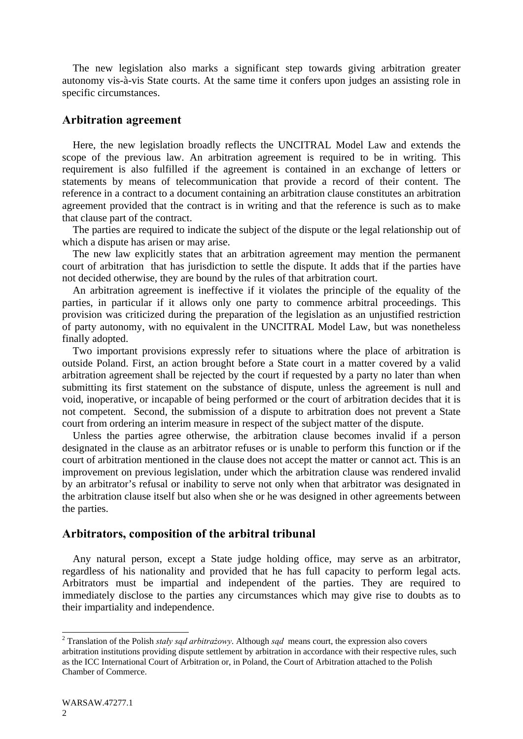The new legislation also marks a significant step towards giving arbitration greater autonomy vis-à-vis State courts. At the same time it confers upon judges an assisting role in specific circumstances.

## **Arbitration agreement**

 Here, the new legislation broadly reflects the UNCITRAL Model Law and extends the scope of the previous law. An arbitration agreement is required to be in writing. This requirement is also fulfilled if the agreement is contained in an exchange of letters or statements by means of telecommunication that provide a record of their content. The reference in a contract to a document containing an arbitration clause constitutes an arbitration agreement provided that the contract is in writing and that the reference is such as to make that clause part of the contract.

 The parties are required to indicate the subject of the dispute or the legal relationship out of which a dispute has arisen or may arise.

 The new law explicitly states that an arbitration agreement may mention the permanent court of arbitration that has jurisdiction to settle the dispute. It adds that if the parties have not decided otherwise, they are bound by the rules of that arbitration court.

 An arbitration agreement is ineffective if it violates the principle of the equality of the parties, in particular if it allows only one party to commence arbitral proceedings. This provision was criticized during the preparation of the legislation as an unjustified restriction of party autonomy, with no equivalent in the UNCITRAL Model Law, but was nonetheless finally adopted.

 Two important provisions expressly refer to situations where the place of arbitration is outside Poland. First, an action brought before a State court in a matter covered by a valid arbitration agreement shall be rejected by the court if requested by a party no later than when submitting its first statement on the substance of dispute, unless the agreement is null and void, inoperative, or incapable of being performed or the court of arbitration decides that it is not competent. Second, the submission of a dispute to arbitration does not prevent a State court from ordering an interim measure in respect of the subject matter of the dispute.

 Unless the parties agree otherwise, the arbitration clause becomes invalid if a person designated in the clause as an arbitrator refuses or is unable to perform this function or if the court of arbitration mentioned in the clause does not accept the matter or cannot act. This is an improvement on previous legislation, under which the arbitration clause was rendered invalid by an arbitrator's refusal or inability to serve not only when that arbitrator was designated in the arbitration clause itself but also when she or he was designed in other agreements between the parties.

## **Arbitrators, composition of the arbitral tribunal**

 Any natural person, except a State judge holding office, may serve as an arbitrator, regardless of his nationality and provided that he has full capacity to perform legal acts. Arbitrators must be impartial and independent of the parties. They are required to immediately disclose to the parties any circumstances which may give rise to doubts as to their impartiality and independence.

 2 Translation of the Polish *stały sąd arbitrażowy*. Although *sąd* means court, the expression also covers arbitration institutions providing dispute settlement by arbitration in accordance with their respective rules, such as the ICC International Court of Arbitration or, in Poland, the Court of Arbitration attached to the Polish Chamber of Commerce.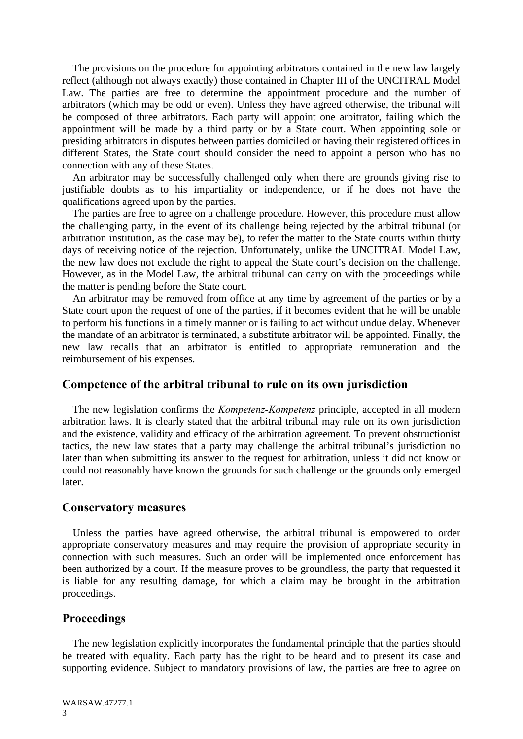The provisions on the procedure for appointing arbitrators contained in the new law largely reflect (although not always exactly) those contained in Chapter III of the UNCITRAL Model Law. The parties are free to determine the appointment procedure and the number of arbitrators (which may be odd or even). Unless they have agreed otherwise, the tribunal will be composed of three arbitrators. Each party will appoint one arbitrator, failing which the appointment will be made by a third party or by a State court. When appointing sole or presiding arbitrators in disputes between parties domiciled or having their registered offices in different States, the State court should consider the need to appoint a person who has no connection with any of these States.

 An arbitrator may be successfully challenged only when there are grounds giving rise to justifiable doubts as to his impartiality or independence, or if he does not have the qualifications agreed upon by the parties.

 The parties are free to agree on a challenge procedure. However, this procedure must allow the challenging party, in the event of its challenge being rejected by the arbitral tribunal (or arbitration institution, as the case may be), to refer the matter to the State courts within thirty days of receiving notice of the rejection. Unfortunately, unlike the UNCITRAL Model Law, the new law does not exclude the right to appeal the State court's decision on the challenge. However, as in the Model Law, the arbitral tribunal can carry on with the proceedings while the matter is pending before the State court.

 An arbitrator may be removed from office at any time by agreement of the parties or by a State court upon the request of one of the parties, if it becomes evident that he will be unable to perform his functions in a timely manner or is failing to act without undue delay. Whenever the mandate of an arbitrator is terminated, a substitute arbitrator will be appointed. Finally, the new law recalls that an arbitrator is entitled to appropriate remuneration and the reimbursement of his expenses.

#### **Competence of the arbitral tribunal to rule on its own jurisdiction**

 The new legislation confirms the *Kompetenz-Kompetenz* principle, accepted in all modern arbitration laws. It is clearly stated that the arbitral tribunal may rule on its own jurisdiction and the existence, validity and efficacy of the arbitration agreement. To prevent obstructionist tactics, the new law states that a party may challenge the arbitral tribunal's jurisdiction no later than when submitting its answer to the request for arbitration, unless it did not know or could not reasonably have known the grounds for such challenge or the grounds only emerged later.

#### **Conservatory measures**

 Unless the parties have agreed otherwise, the arbitral tribunal is empowered to order appropriate conservatory measures and may require the provision of appropriate security in connection with such measures. Such an order will be implemented once enforcement has been authorized by a court. If the measure proves to be groundless, the party that requested it is liable for any resulting damage, for which a claim may be brought in the arbitration proceedings.

#### **Proceedings**

 The new legislation explicitly incorporates the fundamental principle that the parties should be treated with equality. Each party has the right to be heard and to present its case and supporting evidence. Subject to mandatory provisions of law, the parties are free to agree on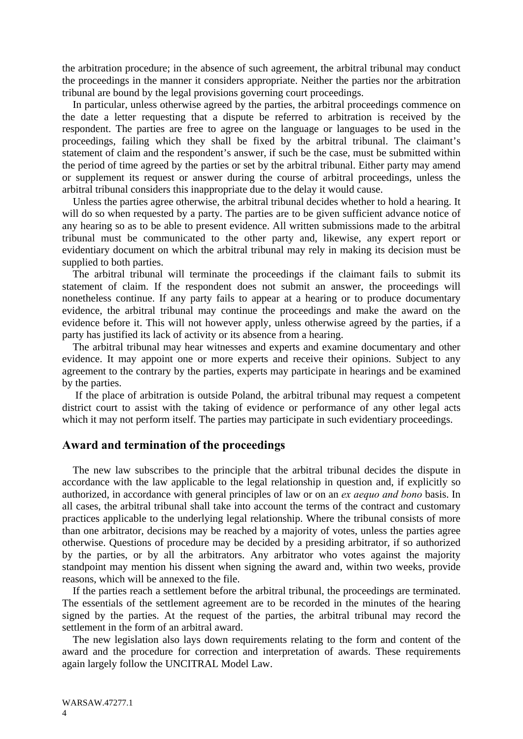the arbitration procedure; in the absence of such agreement, the arbitral tribunal may conduct the proceedings in the manner it considers appropriate. Neither the parties nor the arbitration tribunal are bound by the legal provisions governing court proceedings.

 In particular, unless otherwise agreed by the parties, the arbitral proceedings commence on the date a letter requesting that a dispute be referred to arbitration is received by the respondent. The parties are free to agree on the language or languages to be used in the proceedings, failing which they shall be fixed by the arbitral tribunal. The claimant's statement of claim and the respondent's answer, if such be the case, must be submitted within the period of time agreed by the parties or set by the arbitral tribunal. Either party may amend or supplement its request or answer during the course of arbitral proceedings, unless the arbitral tribunal considers this inappropriate due to the delay it would cause.

 Unless the parties agree otherwise, the arbitral tribunal decides whether to hold a hearing. It will do so when requested by a party. The parties are to be given sufficient advance notice of any hearing so as to be able to present evidence. All written submissions made to the arbitral tribunal must be communicated to the other party and, likewise, any expert report or evidentiary document on which the arbitral tribunal may rely in making its decision must be supplied to both parties.

 The arbitral tribunal will terminate the proceedings if the claimant fails to submit its statement of claim. If the respondent does not submit an answer, the proceedings will nonetheless continue. If any party fails to appear at a hearing or to produce documentary evidence, the arbitral tribunal may continue the proceedings and make the award on the evidence before it. This will not however apply, unless otherwise agreed by the parties, if a party has justified its lack of activity or its absence from a hearing.

 The arbitral tribunal may hear witnesses and experts and examine documentary and other evidence. It may appoint one or more experts and receive their opinions. Subject to any agreement to the contrary by the parties, experts may participate in hearings and be examined by the parties.

 If the place of arbitration is outside Poland, the arbitral tribunal may request a competent district court to assist with the taking of evidence or performance of any other legal acts which it may not perform itself. The parties may participate in such evidentiary proceedings.

## **Award and termination of the proceedings**

 The new law subscribes to the principle that the arbitral tribunal decides the dispute in accordance with the law applicable to the legal relationship in question and, if explicitly so authorized, in accordance with general principles of law or on an *ex aequo and bono* basis. In all cases, the arbitral tribunal shall take into account the terms of the contract and customary practices applicable to the underlying legal relationship. Where the tribunal consists of more than one arbitrator, decisions may be reached by a majority of votes, unless the parties agree otherwise. Questions of procedure may be decided by a presiding arbitrator, if so authorized by the parties, or by all the arbitrators. Any arbitrator who votes against the majority standpoint may mention his dissent when signing the award and, within two weeks, provide reasons, which will be annexed to the file.

 If the parties reach a settlement before the arbitral tribunal, the proceedings are terminated. The essentials of the settlement agreement are to be recorded in the minutes of the hearing signed by the parties. At the request of the parties, the arbitral tribunal may record the settlement in the form of an arbitral award.

 The new legislation also lays down requirements relating to the form and content of the award and the procedure for correction and interpretation of awards. These requirements again largely follow the UNCITRAL Model Law.